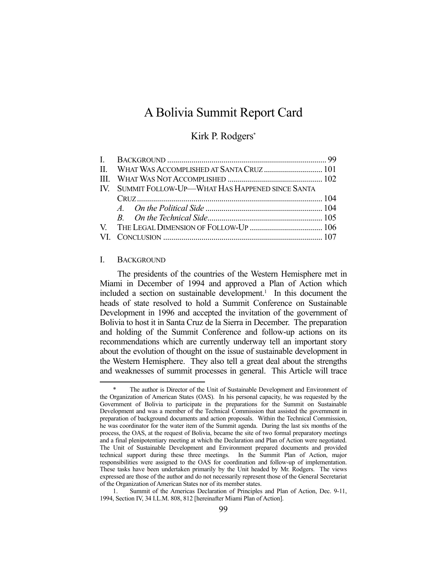# A Bolivia Summit Report Card

# Kirk P. Rodgers\*

| IV. SUMMIT FOLLOW-UP—WHAT HAS HAPPENED SINCE SANTA |  |
|----------------------------------------------------|--|
|                                                    |  |
|                                                    |  |
|                                                    |  |
|                                                    |  |
|                                                    |  |

#### I. BACKGROUND

1

 The presidents of the countries of the Western Hemisphere met in Miami in December of 1994 and approved a Plan of Action which included a section on sustainable development.<sup>1</sup> In this document the heads of state resolved to hold a Summit Conference on Sustainable Development in 1996 and accepted the invitation of the government of Bolivia to host it in Santa Cruz de la Sierra in December. The preparation and holding of the Summit Conference and follow-up actions on its recommendations which are currently underway tell an important story about the evolution of thought on the issue of sustainable development in the Western Hemisphere. They also tell a great deal about the strengths and weaknesses of summit processes in general. This Article will trace

The author is Director of the Unit of Sustainable Development and Environment of the Organization of American States (OAS). In his personal capacity, he was requested by the Government of Bolivia to participate in the preparations for the Summit on Sustainable Development and was a member of the Technical Commission that assisted the government in preparation of background documents and action proposals. Within the Technical Commission, he was coordinator for the water item of the Summit agenda. During the last six months of the process, the OAS, at the request of Bolivia, became the site of two formal preparatory meetings and a final plenipotentiary meeting at which the Declaration and Plan of Action were negotiated. The Unit of Sustainable Development and Environment prepared documents and provided technical support during these three meetings. In the Summit Plan of Action, major responsibilities were assigned to the OAS for coordination and follow-up of implementation. These tasks have been undertaken primarily by the Unit headed by Mr. Rodgers. The views expressed are those of the author and do not necessarily represent those of the General Secretariat of the Organization of American States nor of its member states.

 <sup>1.</sup> Summit of the Americas Declaration of Principles and Plan of Action, Dec. 9-11, 1994, Section IV, 34 I.L.M. 808, 812 [hereinafter Miami Plan of Action].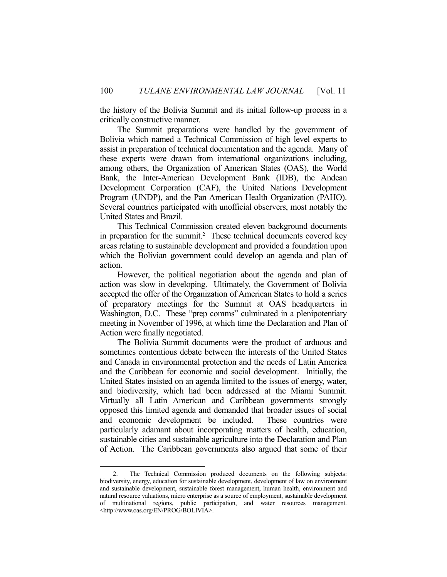the history of the Bolivia Summit and its initial follow-up process in a critically constructive manner.

 The Summit preparations were handled by the government of Bolivia which named a Technical Commission of high level experts to assist in preparation of technical documentation and the agenda. Many of these experts were drawn from international organizations including, among others, the Organization of American States (OAS), the World Bank, the Inter-American Development Bank (IDB), the Andean Development Corporation (CAF), the United Nations Development Program (UNDP), and the Pan American Health Organization (PAHO). Several countries participated with unofficial observers, most notably the United States and Brazil.

 This Technical Commission created eleven background documents in preparation for the summit.<sup>2</sup> These technical documents covered key areas relating to sustainable development and provided a foundation upon which the Bolivian government could develop an agenda and plan of action.

 However, the political negotiation about the agenda and plan of action was slow in developing. Ultimately, the Government of Bolivia accepted the offer of the Organization of American States to hold a series of preparatory meetings for the Summit at OAS headquarters in Washington, D.C. These "prep comms" culminated in a plenipotentiary meeting in November of 1996, at which time the Declaration and Plan of Action were finally negotiated.

 The Bolivia Summit documents were the product of arduous and sometimes contentious debate between the interests of the United States and Canada in environmental protection and the needs of Latin America and the Caribbean for economic and social development. Initially, the United States insisted on an agenda limited to the issues of energy, water, and biodiversity, which had been addressed at the Miami Summit. Virtually all Latin American and Caribbean governments strongly opposed this limited agenda and demanded that broader issues of social and economic development be included. These countries were particularly adamant about incorporating matters of health, education, sustainable cities and sustainable agriculture into the Declaration and Plan of Action. The Caribbean governments also argued that some of their

<u>.</u>

 <sup>2.</sup> The Technical Commission produced documents on the following subjects: biodiversity, energy, education for sustainable development, development of law on environment and sustainable development, sustainable forest management, human health, environment and natural resource valuations, micro enterprise as a source of employment, sustainable development of multinational regions, public participation, and water resources management. <http://www.oas.org/EN/PROG/BOLIVIA>.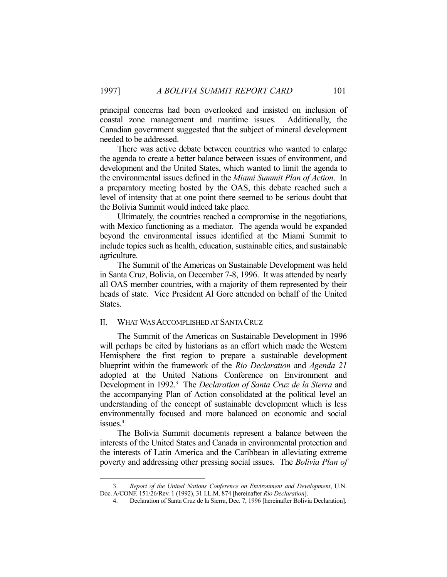principal concerns had been overlooked and insisted on inclusion of coastal zone management and maritime issues. Additionally, the Canadian government suggested that the subject of mineral development needed to be addressed.

 There was active debate between countries who wanted to enlarge the agenda to create a better balance between issues of environment, and development and the United States, which wanted to limit the agenda to the environmental issues defined in the *Miami Summit Plan of Action*. In a preparatory meeting hosted by the OAS, this debate reached such a level of intensity that at one point there seemed to be serious doubt that the Bolivia Summit would indeed take place.

 Ultimately, the countries reached a compromise in the negotiations, with Mexico functioning as a mediator. The agenda would be expanded beyond the environmental issues identified at the Miami Summit to include topics such as health, education, sustainable cities, and sustainable agriculture.

 The Summit of the Americas on Sustainable Development was held in Santa Cruz, Bolivia, on December 7-8, 1996. It was attended by nearly all OAS member countries, with a majority of them represented by their heads of state. Vice President Al Gore attended on behalf of the United States.

# II. WHAT WAS ACCOMPLISHED AT SANTA CRUZ

1

 The Summit of the Americas on Sustainable Development in 1996 will perhaps be cited by historians as an effort which made the Western Hemisphere the first region to prepare a sustainable development blueprint within the framework of the *Rio Declaration* and *Agenda 21*  adopted at the United Nations Conference on Environment and Development in 1992.3 The *Declaration of Santa Cruz de la Sierra* and the accompanying Plan of Action consolidated at the political level an understanding of the concept of sustainable development which is less environmentally focused and more balanced on economic and social issues.<sup>4</sup>

 The Bolivia Summit documents represent a balance between the interests of the United States and Canada in environmental protection and the interests of Latin America and the Caribbean in alleviating extreme poverty and addressing other pressing social issues. The *Bolivia Plan of* 

 <sup>3.</sup> *Report of the United Nations Conference on Environment and Development*, U.N. Doc. A/CONF. 151/26/Rev. 1 (1992), 31 I.L.M. 874 [hereinafter *Rio Declaration*].

 <sup>4.</sup> Declaration of Santa Cruz de la Sierra, Dec. 7, 1996 [hereinafter Bolivia Declaration].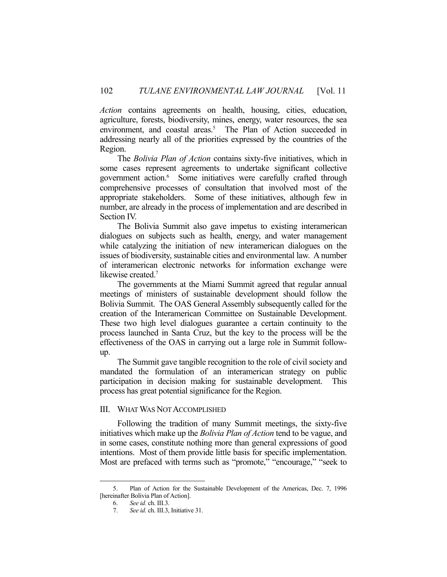*Action* contains agreements on health, housing, cities, education, agriculture, forests, biodiversity, mines, energy, water resources, the sea environment, and coastal areas.<sup>5</sup> The Plan of Action succeeded in addressing nearly all of the priorities expressed by the countries of the Region.

 The *Bolivia Plan of Action* contains sixty-five initiatives, which in some cases represent agreements to undertake significant collective government action.6 Some initiatives were carefully crafted through comprehensive processes of consultation that involved most of the appropriate stakeholders. Some of these initiatives, although few in number, are already in the process of implementation and are described in Section IV.

 The Bolivia Summit also gave impetus to existing interamerican dialogues on subjects such as health, energy, and water management while catalyzing the initiation of new interamerican dialogues on the issues of biodiversity, sustainable cities and environmental law. A number of interamerican electronic networks for information exchange were likewise created.<sup>7</sup>

 The governments at the Miami Summit agreed that regular annual meetings of ministers of sustainable development should follow the Bolivia Summit. The OAS General Assembly subsequently called for the creation of the Interamerican Committee on Sustainable Development. These two high level dialogues guarantee a certain continuity to the process launched in Santa Cruz, but the key to the process will be the effectiveness of the OAS in carrying out a large role in Summit followup.

 The Summit gave tangible recognition to the role of civil society and mandated the formulation of an interamerican strategy on public participation in decision making for sustainable development. This process has great potential significance for the Region.

# III. WHAT WAS NOT ACCOMPLISHED

 Following the tradition of many Summit meetings, the sixty-five initiatives which make up the *Bolivia Plan of Action* tend to be vague, and in some cases, constitute nothing more than general expressions of good intentions. Most of them provide little basis for specific implementation. Most are prefaced with terms such as "promote," "encourage," "seek to

<u>.</u>

 <sup>5.</sup> Plan of Action for the Sustainable Development of the Americas, Dec. 7, 1996 [hereinafter Bolivia Plan of Action].

 <sup>6.</sup> *See id.* ch. III.3.

 <sup>7.</sup> *See id.* ch. III.3, Initiative 31.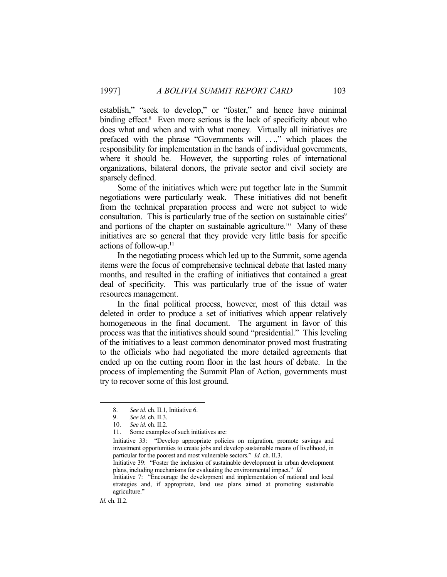establish," "seek to develop," or "foster," and hence have minimal binding effect.<sup>8</sup> Even more serious is the lack of specificity about who does what and when and with what money. Virtually all initiatives are prefaced with the phrase "Governments will . . .," which places the responsibility for implementation in the hands of individual governments, where it should be. However, the supporting roles of international organizations, bilateral donors, the private sector and civil society are sparsely defined.

 Some of the initiatives which were put together late in the Summit negotiations were particularly weak. These initiatives did not benefit from the technical preparation process and were not subject to wide consultation. This is particularly true of the section on sustainable cities<sup>9</sup> and portions of the chapter on sustainable agriculture.<sup>10</sup> Many of these initiatives are so general that they provide very little basis for specific actions of follow-up.11

 In the negotiating process which led up to the Summit, some agenda items were the focus of comprehensive technical debate that lasted many months, and resulted in the crafting of initiatives that contained a great deal of specificity. This was particularly true of the issue of water resources management.

 In the final political process, however, most of this detail was deleted in order to produce a set of initiatives which appear relatively homogeneous in the final document. The argument in favor of this process was that the initiatives should sound "presidential." This leveling of the initiatives to a least common denominator proved most frustrating to the officials who had negotiated the more detailed agreements that ended up on the cutting room floor in the last hours of debate. In the process of implementing the Summit Plan of Action, governments must try to recover some of this lost ground.

*Id.* ch. II.2.

1

 <sup>8.</sup> *See id.* ch. II.1, Initiative 6.

 <sup>9.</sup> *See id.* ch. II.3.

 <sup>10.</sup> *See id.* ch. II.2.

 <sup>11.</sup> Some examples of such initiatives are:

Initiative 33: "Develop appropriate policies on migration, promote savings and investment opportunities to create jobs and develop sustainable means of livelihood, in particular for the poorest and most vulnerable sectors." *Id.* ch. II.3.

Initiative 39: "Foster the inclusion of sustainable development in urban development plans, including mechanisms for evaluating the environmental impact." *Id.*

Initiative 7: "Encourage the development and implementation of national and local strategies and, if appropriate, land use plans aimed at promoting sustainable agriculture."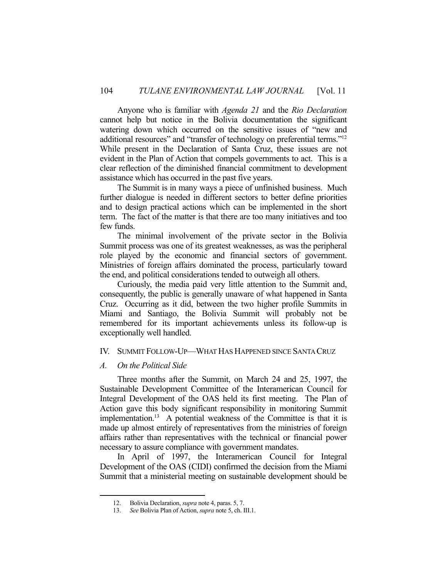Anyone who is familiar with *Agenda 21* and the *Rio Declaration*  cannot help but notice in the Bolivia documentation the significant watering down which occurred on the sensitive issues of "new and additional resources" and "transfer of technology on preferential terms."<sup>12</sup> While present in the Declaration of Santa Cruz, these issues are not evident in the Plan of Action that compels governments to act. This is a clear reflection of the diminished financial commitment to development assistance which has occurred in the past five years.

 The Summit is in many ways a piece of unfinished business. Much further dialogue is needed in different sectors to better define priorities and to design practical actions which can be implemented in the short term. The fact of the matter is that there are too many initiatives and too few funds.

 The minimal involvement of the private sector in the Bolivia Summit process was one of its greatest weaknesses, as was the peripheral role played by the economic and financial sectors of government. Ministries of foreign affairs dominated the process, particularly toward the end, and political considerations tended to outweigh all others.

 Curiously, the media paid very little attention to the Summit and, consequently, the public is generally unaware of what happened in Santa Cruz. Occurring as it did, between the two higher profile Summits in Miami and Santiago, the Bolivia Summit will probably not be remembered for its important achievements unless its follow-up is exceptionally well handled.

# IV. SUMMIT FOLLOW-UP—WHAT HAS HAPPENED SINCE SANTA CRUZ

# *A. On the Political Side*

1

 Three months after the Summit, on March 24 and 25, 1997, the Sustainable Development Committee of the Interamerican Council for Integral Development of the OAS held its first meeting. The Plan of Action gave this body significant responsibility in monitoring Summit implementation.13 A potential weakness of the Committee is that it is made up almost entirely of representatives from the ministries of foreign affairs rather than representatives with the technical or financial power necessary to assure compliance with government mandates.

 In April of 1997, the Interamerican Council for Integral Development of the OAS (CIDI) confirmed the decision from the Miami Summit that a ministerial meeting on sustainable development should be

 <sup>12.</sup> Bolivia Declaration, *supra* note 4, paras. 5, 7.

 <sup>13.</sup> *See* Bolivia Plan of Action, *supra* note 5, ch. III.1.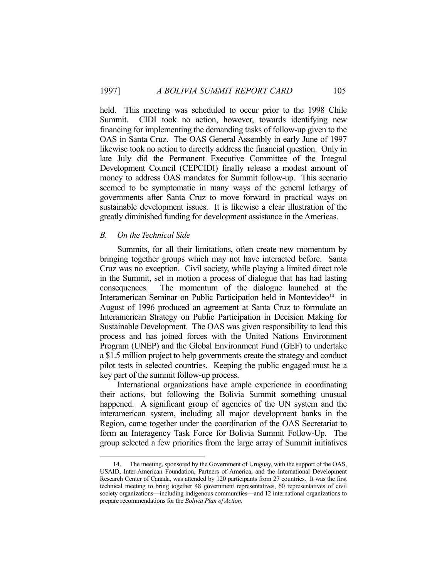held. This meeting was scheduled to occur prior to the 1998 Chile Summit. CIDI took no action, however, towards identifying new financing for implementing the demanding tasks of follow-up given to the OAS in Santa Cruz. The OAS General Assembly in early June of 1997 likewise took no action to directly address the financial question. Only in late July did the Permanent Executive Committee of the Integral Development Council (CEPCIDI) finally release a modest amount of money to address OAS mandates for Summit follow-up. This scenario seemed to be symptomatic in many ways of the general lethargy of governments after Santa Cruz to move forward in practical ways on sustainable development issues. It is likewise a clear illustration of the greatly diminished funding for development assistance in the Americas.

#### *B. On the Technical Side*

1

 Summits, for all their limitations, often create new momentum by bringing together groups which may not have interacted before. Santa Cruz was no exception. Civil society, while playing a limited direct role in the Summit, set in motion a process of dialogue that has had lasting consequences. The momentum of the dialogue launched at the Interamerican Seminar on Public Participation held in Montevideo<sup>14</sup> in August of 1996 produced an agreement at Santa Cruz to formulate an Interamerican Strategy on Public Participation in Decision Making for Sustainable Development. The OAS was given responsibility to lead this process and has joined forces with the United Nations Environment Program (UNEP) and the Global Environment Fund (GEF) to undertake a \$1.5 million project to help governments create the strategy and conduct pilot tests in selected countries. Keeping the public engaged must be a key part of the summit follow-up process.

 International organizations have ample experience in coordinating their actions, but following the Bolivia Summit something unusual happened. A significant group of agencies of the UN system and the interamerican system, including all major development banks in the Region, came together under the coordination of the OAS Secretariat to form an Interagency Task Force for Bolivia Summit Follow-Up. The group selected a few priorities from the large array of Summit initiatives

The meeting, sponsored by the Government of Uruguay, with the support of the OAS, USAID, Inter-American Foundation, Partners of America, and the International Development Research Center of Canada, was attended by 120 participants from 27 countries. It was the first technical meeting to bring together 48 government representatives, 60 representatives of civil society organizations—including indigenous communities—and 12 international organizations to prepare recommendations for the *Bolivia Plan of Action*.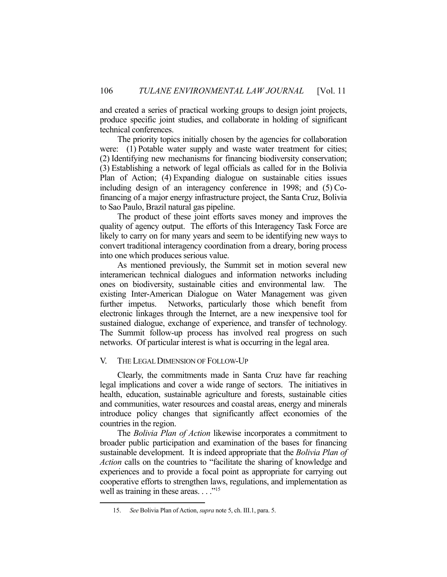and created a series of practical working groups to design joint projects, produce specific joint studies, and collaborate in holding of significant technical conferences.

 The priority topics initially chosen by the agencies for collaboration were: (1) Potable water supply and waste water treatment for cities; (2) Identifying new mechanisms for financing biodiversity conservation; (3) Establishing a network of legal officials as called for in the Bolivia Plan of Action; (4) Expanding dialogue on sustainable cities issues including design of an interagency conference in 1998; and (5) Cofinancing of a major energy infrastructure project, the Santa Cruz, Bolivia to Sao Paulo, Brazil natural gas pipeline.

 The product of these joint efforts saves money and improves the quality of agency output. The efforts of this Interagency Task Force are likely to carry on for many years and seem to be identifying new ways to convert traditional interagency coordination from a dreary, boring process into one which produces serious value.

 As mentioned previously, the Summit set in motion several new interamerican technical dialogues and information networks including ones on biodiversity, sustainable cities and environmental law. The existing Inter-American Dialogue on Water Management was given further impetus. Networks, particularly those which benefit from electronic linkages through the Internet, are a new inexpensive tool for sustained dialogue, exchange of experience, and transfer of technology. The Summit follow-up process has involved real progress on such networks. Of particular interest is what is occurring in the legal area.

# V. THE LEGAL DIMENSION OF FOLLOW-UP

 Clearly, the commitments made in Santa Cruz have far reaching legal implications and cover a wide range of sectors. The initiatives in health, education, sustainable agriculture and forests, sustainable cities and communities, water resources and coastal areas, energy and minerals introduce policy changes that significantly affect economies of the countries in the region.

 The *Bolivia Plan of Action* likewise incorporates a commitment to broader public participation and examination of the bases for financing sustainable development. It is indeed appropriate that the *Bolivia Plan of Action* calls on the countries to "facilitate the sharing of knowledge and experiences and to provide a focal point as appropriate for carrying out cooperative efforts to strengthen laws, regulations, and implementation as well as training in these areas.  $\ldots$ <sup>"15</sup>

1

 <sup>15.</sup> *See* Bolivia Plan of Action, *supra* note 5, ch. III.1, para. 5.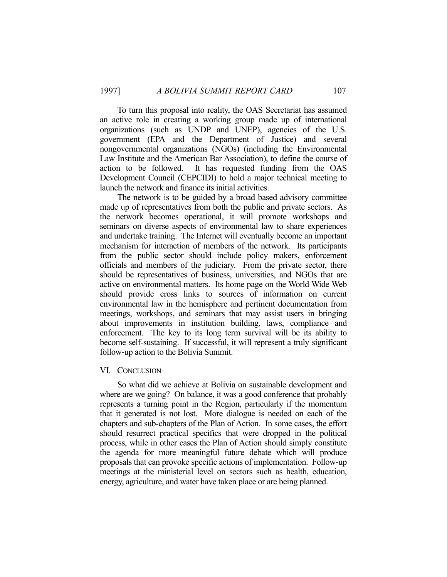To turn this proposal into reality, the OAS Secretariat has assumed an active role in creating a working group made up of international organizations (such as UNDP and UNEP), agencies of the U.S. government (EPA and the Department of Justice) and several nongovernmental organizations (NGOs) (including the Environmental Law Institute and the American Bar Association), to define the course of action to be followed. It has requested funding from the OAS Development Council (CEPCIDI) to hold a major technical meeting to launch the network and finance its initial activities.

 The network is to be guided by a broad based advisory committee made up of representatives from both the public and private sectors. As the network becomes operational, it will promote workshops and seminars on diverse aspects of environmental law to share experiences and undertake training. The Internet will eventually become an important mechanism for interaction of members of the network. Its participants from the public sector should include policy makers, enforcement officials and members of the judiciary. From the private sector, there should be representatives of business, universities, and NGOs that are active on environmental matters. Its home page on the World Wide Web should provide cross links to sources of information on current environmental law in the hemisphere and pertinent documentation from meetings, workshops, and seminars that may assist users in bringing about improvements in institution building, laws, compliance and enforcement. The key to its long term survival will be its ability to become self-sustaining. If successful, it will represent a truly significant follow-up action to the Bolivia Summit.

#### VI. CONCLUSION

 So what did we achieve at Bolivia on sustainable development and where are we going? On balance, it was a good conference that probably represents a turning point in the Region, particularly if the momentum that it generated is not lost. More dialogue is needed on each of the chapters and sub-chapters of the Plan of Action. In some cases, the effort should resurrect practical specifics that were dropped in the political process, while in other cases the Plan of Action should simply constitute the agenda for more meaningful future debate which will produce proposals that can provoke specific actions of implementation. Follow-up meetings at the ministerial level on sectors such as health, education, energy, agriculture, and water have taken place or are being planned.